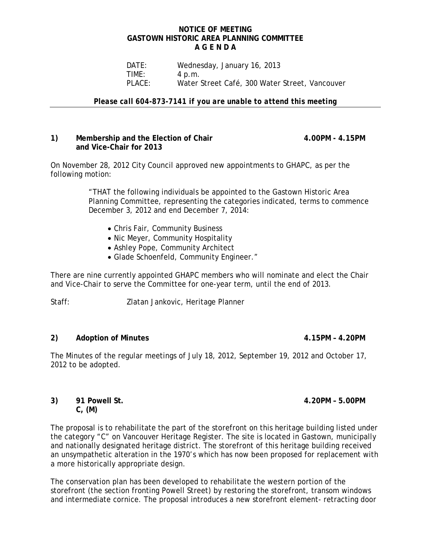#### **NOTICE OF MEETING GASTOWN HISTORIC AREA PLANNING COMMITTEE A G E N D A**

 DATE: Wednesday, January 16, 2013 **TIME:** 4 p.m.<br>PLACE: Water! Water Street Café, 300 Water Street, Vancouver

*Please call 604-873-7141 if you are unable to attend this meeting*

### 1) Membership and the Election of Chair **4.00PM** - 4.15PM **and Vice-Chair for 2013**

On November 28, 2012 City Council approved new appointments to GHAPC, as per the following motion:

> "THAT the following individuals be appointed to the Gastown Historic Area Planning Committee, representing the categories indicated, terms to commence December 3, 2012 and end December 7, 2014:

- Chris Fair, Community Business
- Nic Meyer, Community Hospitality
- Ashley Pope, Community Architect
- Glade Schoenfeld, Community Engineer."

There are nine currently appointed GHAPC members who will nominate and elect the Chair and Vice-Chair to serve the Committee for one-year term, until the end of 2013.

Staff:Zlatan Jankovic, Heritage Planner

#### **2) Adoption of Minutes 4.15PM – 4.20PM**

The Minutes of the regular meetings of July 18, 2012, September 19, 2012 and October 17, 2012 to be adopted.

#### **3) 91 Powell St. 4.20PM – 5.00PM C, (M)**

The proposal is to rehabilitate the part of the storefront on this heritage building listed under the category "C" on Vancouver Heritage Register. The site is located in Gastown, municipally and nationally designated heritage district. The storefront of this heritage building received an unsympathetic alteration in the 1970's which has now been proposed for replacement with a more historically appropriate design.

The conservation plan has been developed to rehabilitate the western portion of the storefront (the section fronting Powell Street) by restoring the storefront, transom windows and intermediate cornice. The proposal introduces a new storefront element- retracting door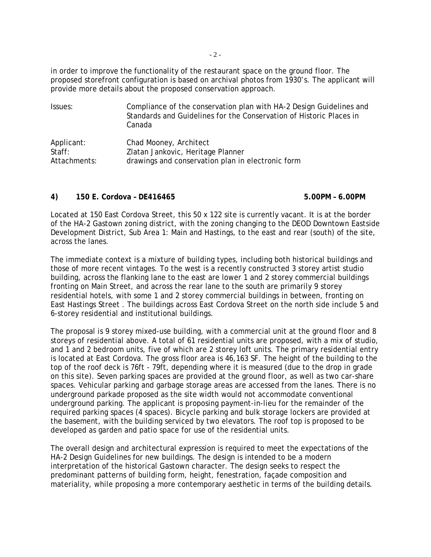- 2 -

in order to improve the functionality of the restaurant space on the ground floor. The proposed storefront configuration is based on archival photos from 1930's. The applicant will provide more details about the proposed conservation approach.

| Issues:      | Compliance of the conservation plan with HA-2 Design Guidelines and<br>Standards and Guidelines for the Conservation of Historic Places in<br>Canada |
|--------------|------------------------------------------------------------------------------------------------------------------------------------------------------|
| Applicant:   | Chad Mooney, Architect                                                                                                                               |
| Staff:       | Zlatan Jankovic, Heritage Planner                                                                                                                    |
| Attachments: | drawings and conservation plan in electronic form                                                                                                    |

## **4) 150 E. Cordova – DE416465 5.00PM – 6.00PM**

Located at 150 East Cordova Street, this 50 x 122 site is currently vacant. It is at the border of the HA-2 Gastown zoning district, with the zoning changing to the DEOD Downtown Eastside Development District, Sub Area 1: Main and Hastings, to the east and rear (south) of the site, across the lanes.

The immediate context is a mixture of building types, including both historical buildings and those of more recent vintages. To the west is a recently constructed 3 storey artist studio building, across the flanking lane to the east are lower 1 and 2 storey commercial buildings fronting on Main Street, and across the rear lane to the south are primarily 9 storey residential hotels, with some 1 and 2 storey commercial buildings in between, fronting on East Hastings Street . The buildings across East Cordova Street on the north side include 5 and 6-storey residential and institutional buildings.

The proposal is 9 storey mixed-use building, with a commercial unit at the ground floor and 8 storeys of residential above. A total of 61 residential units are proposed, with a mix of studio, and 1 and 2 bedroom units, five of which are 2 storey loft units. The primary residential entry is located at East Cordova. The gross floor area is 46,163 SF. The height of the building to the top of the roof deck is 76ft - 79ft, depending where it is measured (due to the drop in grade on this site). Seven parking spaces are provided at the ground floor, as well as two car-share spaces. Vehicular parking and garbage storage areas are accessed from the lanes. There is no underground parkade proposed as the site width would not accommodate conventional underground parking. The applicant is proposing payment-in-lieu for the remainder of the required parking spaces (4 spaces). Bicycle parking and bulk storage lockers are provided at the basement, with the building serviced by two elevators. The roof top is proposed to be developed as garden and patio space for use of the residential units.

The overall design and architectural expression is required to meet the expectations of the HA-2 Design Guidelines for new buildings. The design is intended to be a modern interpretation of the historical Gastown character. The design seeks to respect the predominant patterns of building form, height, fenestration, façade composition and materiality, while proposing a more contemporary aesthetic in terms of the building details.